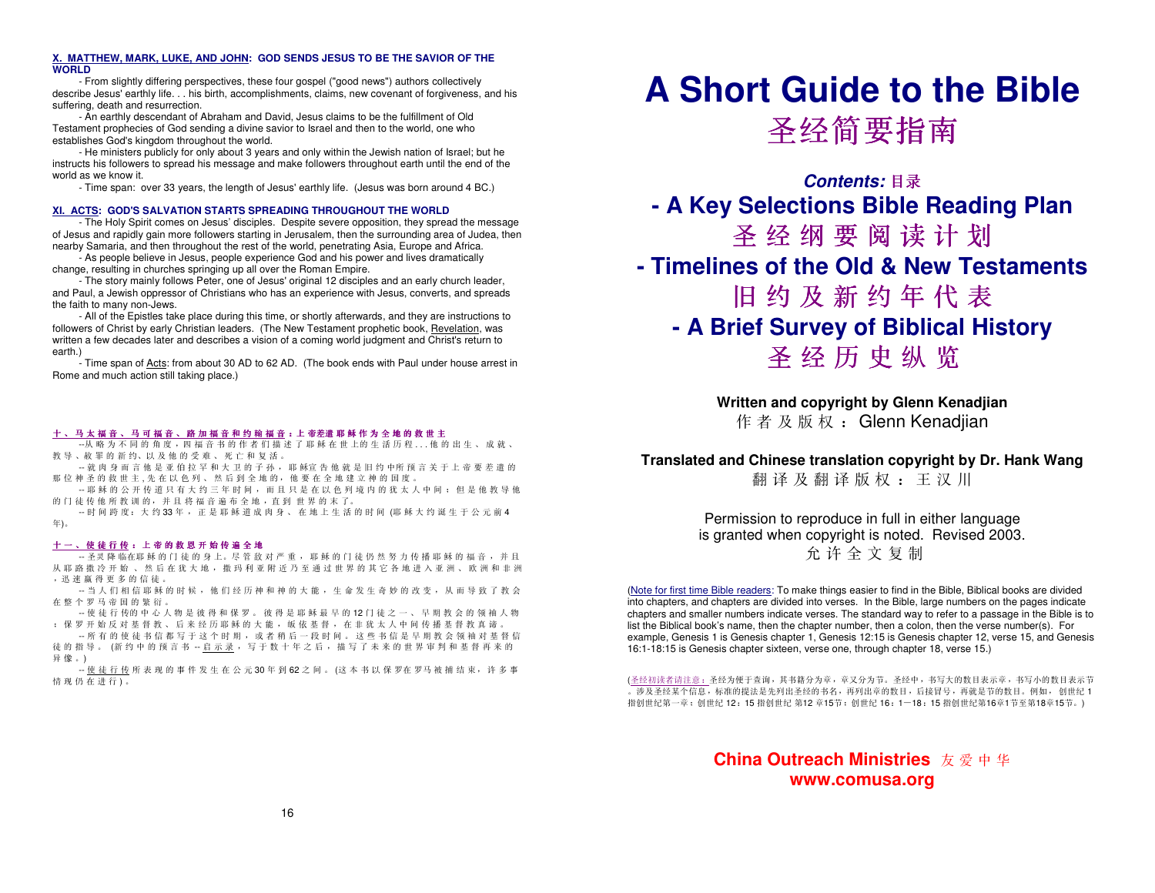#### **X. MATTHEW, MARK, LUKE, AND JOHN: GOD SENDS JESUS TO BE THE SAVIOR OF THE WORLD**

 - From slightly differing perspectives, these four gospel ("good news") authors collectively describe Jesus' earthly life. . . his birth, accomplishments, claims, new covenant of forgiveness, and his suffering, death and resurrection.

 - An earthly descendant of Abraham and David, Jesus claims to be the fulfillment of Old Testament prophecies of God sending a divine savior to Israel and then to the world, one who establishes God's kingdom throughout the world.

 - He ministers publicly for only about 3 years and only within the Jewish nation of Israel; but he instructs his followers to spread his message and make followers throughout earth until the end of the world as we know it.

- Time span: over 33 years, the length of Jesus' earthly life. (Jesus was born around 4 BC.)

#### **XI. ACTS: GOD'S SALVATION STARTS SPREADING THROUGHOUT THE WORLD**

 - The Holy Spirit comes on Jesus' disciples. Despite severe opposition, they spread the message of Jesus and rapidly gain more followers starting in Jerusalem, then the surrounding area of Judea, then nearby Samaria, and then throughout the rest of the world, penetrating Asia, Europe and Africa.

 - As people believe in Jesus, people experience God and his power and lives dramatically change, resulting in churches springing up all over the Roman Empire.

 - The story mainly follows Peter, one of Jesus' original 12 disciples and an early church leader, and Paul, a Jewish oppressor of Christians who has an experience with Jesus, converts, and spreads the faith to many non-Jews.

 - All of the Epistles take place during this time, or shortly afterwards, and they are instructions to followers of Christ by early Christian leaders. (The New Testament prophetic book, Revelation, was written a few decades later and describes a vision of a coming world judgment and Christ's return to earth.)

- Time span of Acts: from about 30 AD to 62 AD. (The book ends with Paul under house arrest in Rome and much action still taking place.)

## 十 、 <sup>马</sup> <sup>太</sup> <sup>福</sup> <sup>音</sup> 、 <sup>马</sup> <sup>可</sup> <sup>福</sup> <sup>音</sup> 、 <sup>路</sup> <sup>加</sup> <sup>福</sup> <sup>音</sup> <sup>和</sup> <sup>约</sup> <sup>翰</sup> <sup>福</sup> <sup>音</sup> :上 帝差遣 <sup>耶</sup> <sup>稣</sup> <sup>作</sup> <sup>为</sup> <sup>全</sup> <sup>地</sup> <sup>的</sup> <sup>救</sup> <sup>世</sup> <sup>主</sup>

---从 略 为 不 同 的 角 度 , 四 福 音 书 的 作 者 们 描 述 了 耶 稣 在 世 上的 生 活 历 程 . . . 他 的 出 生 、 成 就 、<br>数 导 、 数 黑 的 恶 约 、 以 及 他 的 受 难 、 死 亡 和 复 迁 教 <sup>导</sup> 、赦 <sup>罪</sup> <sup>的</sup> <sup>新</sup> 约、以 <sup>及</sup> <sup>他</sup> <sup>的</sup> <sup>受</sup> <sup>难</sup> 、 <sup>死</sup> <sup>亡</sup> <sup>和</sup> <sup>复</sup> <sup>活</sup> 。

--- 就 肉 身 而 言 他 是 亚 伯 拉 罕 和 大 卫 的 子 孙 , 耶 稣宣 告 他 就 是 旧 约 中所 预 言 关 于 上 帝 要 差 遣 的<br>那 位 神 圣 的 教 世 主 , 生 左 以 鱼 列 、 处 巨 列 会 地 的 、 他 要 左 会 地 独 立 神 的 国 所 那 <sup>位</sup> <sup>神</sup> <sup>圣</sup> <sup>的</sup> <sup>救</sup> <sup>世</sup> <sup>主</sup> , <sup>先</sup> <sup>在</sup> <sup>以</sup> <sup>色</sup> <sup>列</sup> 、 <sup>然</sup> <sup>后</sup> <sup>到</sup> <sup>全</sup> <sup>地</sup> 的, <sup>他</sup> <sup>要</sup> <sup>在</sup> <sup>全</sup> <sup>地</sup> <sup>建</sup> <sup>立</sup> <sup>神</sup> <sup>的</sup> <sup>国</sup> <sup>度</sup> 。

-- 耶 稣 的 公 开 传 道 只 有 大 约 三 年 时 间 , 而 且 只 是 在 以 色 列 境 内 的 犹 太 人 中 间 ; 但 是 他 教 导 他<br>的 门 往 任 她 所 数 训 的 , 并 日 悠 逗 辛 追 左 仝 地 , 古 列 册 思 的 主 了 的 <sup>门</sup> <sup>徒</sup> <sup>传</sup> <sup>他</sup> <sup>所</sup> <sup>教</sup> <sup>训</sup> 的, <sup>并</sup> <sup>且</sup> <sup>将</sup> <sup>福</sup> <sup>音</sup> <sup>遍</sup> <sup>布</sup> <sup>全</sup> <sup>地</sup> ,直 <sup>到</sup> <sup>世</sup> <sup>界</sup> <sup>的</sup> <sup>ᴀ</sup> 了。

-- 时 间 跨 度 : 大 约 33 年 , 正 是 耶 稣 道 成 肉 身 、 在 地 上 生 活 的 时 间 (耶 稣 大 约 诞 生 于 公 元 前 4<br> <sup>(F)</sup> 年)。

## 十 <sup>一</sup> 、 <sup>使</sup> <sup>徒</sup> <sup>行</sup> <sup>传</sup> : <sup>上</sup> <sup>帝</sup> <sup>的</sup> <sup>救</sup> <sup>恩</sup> <sup>开</sup> <sup>始</sup> <sup>传</sup> <sup>遍</sup> <sup>全</sup> <sup>地</sup>

-- 圣灵 降 临在耶 稣 的 门 徒 的 身 上。尽 管 敌 对 严 重 , 耶 稣 的 门 徒 仍 然 努 力 传 播 耶 稣 的 福 音 , 并 且<br>山 丽 吹 빠 必 五 长 , 外 后 左 登 土 地 , 地 河 利 亚 附 近 乃 至 通 过 世 里 的 其 穴 冬 地 洪 入 亚 、 」 、 欧 迦 和 北 斗 从 耶 路 撒 冷 开 始 、 然 后 在 犹 大 地 , 撒 玛 利 亚 附 近 乃 至 通 过 世 界 的 其 它 各 地 进 入 亚 洲 、 欧 洲 和 非 洲<br>,迅 速 真 得 更 名 的 信 往 , 迅速 赢 得 更 多 的 信 徒 。<br>, 当 人 们 担 信 耶 <del>跃</del>

-- 当 人 们 相 信 耶 稣 的 时 候 , 他 们 经 历 神 和 神 的 大 能 , 生 命 发 生 奇 妙 的 改 变 , 从 而 导 致 了 教 会<br>左 整 个 罗 <sup>口 态 国 的 整 衍</sup> 在 <sup>整</sup> <sup>个</sup> <sup>罗</sup> <sup>马</sup> <sup>帝</sup> <sup>国</sup> <sup>的</sup> <sup>繁</sup> <sup>衍</sup> 。

-- 使 徒 行 传的 中 心 人 物 是 彼 得 和 保 罗 。 彼 得 是 耶 稣 最 早 的 12 门 徒 之 一 、 早 期 教 会 的 领 袖 人 物<br>・ 保 罗 平 岭 丘 对 基 权 数 后 夹 经 历 眠 好 的 十 龄 饭 放 基 权 左 非 犹 士 人 由 问 佐 拯 基 权 数 直 逆 ; <sup>保</sup> <sup>罗</sup> <sup>开</sup> <sup>始</sup> <sup>反</sup> <sup>对</sup> <sup>基</sup> <sup>督</sup> <sup>教</sup> 、 <sup>后</sup> <sup>来</sup> <sup>经</sup> <sup>历</sup> <sup>耶</sup> <sup>稣</sup> <sup>的</sup> <sup>大</sup> <sup>能</sup> , <sup>皈</sup> <sup>依</sup> <sup>基</sup> <sup>督</sup> , <sup>在</sup> <sup>非</sup> <sup>犹</sup> <sup>太</sup> <sup>人</sup> <sup>中</sup> <sup>间</sup> <sup>传</sup> <sup>播</sup> <sup>基</sup> <sup>督</sup> <sup>教</sup> <sup>真</sup> <sup>谛</sup> 。

-- 所 有 的 使 徒 书 信 都 写 于 这 个 时 期 , 或 者 稍 后 一 段 时 间 。 这 些 书 信 是 早 期 教 会 领 袖 对 基 督 信<br>结 的 世 員 、 /新 约 时 西 言 书 、 白 云 寻 、 写 五 教 十 年 文 戶 、 世 写 了 土 英 的 世 里 宝 判 和 其 权 更 求 的 徒 的 指 导 。 (新 约 中 的 预 言 书 -- <u>启 示 录</u> , 写 于 数 十 年 之 后 , 描 写 了 未 来 的 世 界 审 判 和 基 督 再 来 的<br><mark>見 *ゆ* 、</mark>

异像。)<br>, -- <u>使 徒 行 传</u> 所 表 现 的 事 件 发 生 在 公 元 30 年 到 62 之 间 。 (这 本 书 以 保 罗在 罗马 被 捕 结 束, 许 多 事<br>楼 现 仍 左 进 行 \ 情 现 仍 在 进 行 )。<br>

# **A Short Guide to the Bible**

圣经简要指南

**Contents:** 目录 **- A Key Selections Bible Reading Plan**圣 经 纲 要 阅 读 计 划<br>es of the Old & New Tes **- Timelines of the Old & New Testaments** 旧 约 及 新 约 年 代 表<br>rief Survev of Biblical Hi **- A Brief Survey of Biblical History** 圣 <sup>经</sup> <sup>历</sup> <sup>史</sup> <sup>纵</sup> <sup>览</sup>

> **Written and copyright by Glenn Kenadjian** 作 <sup>者</sup> <sup>及</sup> <sup>版</sup> <sup>权</sup> : Glenn Kenadjian

## **Translated and Chinese translation copyright by Dr. Hank Wang**

翻 译 及 翻 译 版 权 : 王 汉 川

Permission to reproduce in full in either language is granted when copyright is noted. Revised 2003.允 <sup>许</sup> <sup>全</sup> <sup>文</sup> <sup>复</sup> <sup>制</sup>

(Note for first time Bible readers: To make things easier to find in the Bible, Biblical books are divided into chapters, and chapters are divided into verses. In the Bible, large numbers on the pages indicate chapters and smaller numbers indicate verses. The standard way to refer to a passage in the Bible is to list the Biblical book's name, then the chapter number, then a colon, then the verse number(s). For example, Genesis 1 is Genesis chapter 1, Genesis 12:15 is Genesis chapter 12, verse 15, and Genesis 16:1-18:15 is Genesis chapter sixteen, verse one, through chapter 18, verse 15.)

(圣经初读者请注意:圣经为便于查询,其书籍分为章,章又分为节。圣经中,书写大的数目表示章,书写小的数目表示节。涉及圣经某个信息,标准的提法是先列出圣经的书名,再列出章的数目,后接冒号,再就是节的数目。例如, 创世纪 1<br>埃列世纪第一章,列世纪 19,15 埃列世纪 第19 章15卦,列世纪 16,1—19,15 埃列世纪第16章1节至第19章15节, 指创世纪第一章;创世纪 12:15 指创世纪 第12 章15节;创世纪 16:1-18:15 指创世纪第16章1节至第18章15节。)<br>

> **China Outreach Ministries** 友 <sup>爱</sup> <sup>中</sup> <sup>华</sup> **www.comusa.org**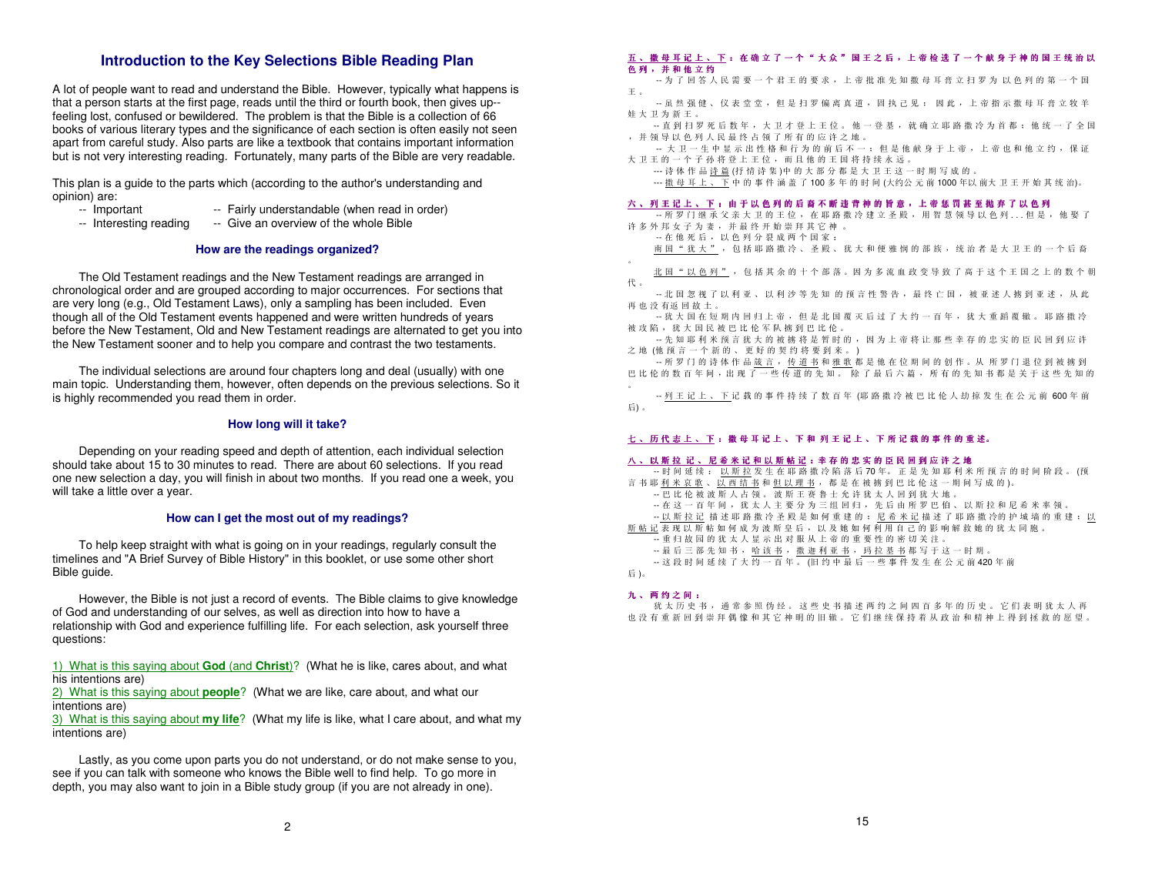### **Introduction to the Key Selections Bible Reading Plan**

A lot of people want to read and understand the Bible. However, typically what happens is that a person starts at the first page, reads until the third or fourth book, then gives up- feeling lost, confused or bewildered. The problem is that the Bible is a collection of 66 books of various literary types and the significance of each section is often easily not seen apart from careful study. Also parts are like a textbook that contains important information but is not very interesting reading. Fortunately, many parts of the Bible are very readable.

This plan is a guide to the parts which (according to the author's understanding and opinion) are:

- -- Important -- Important -- Fairly understandable (when read in order)<br>-- Interesting reading -- Give an overview of the whole Bible
- -- Give an overview of the whole Bible

#### **How are the readings organized?**

 The Old Testament readings and the New Testament readings are arranged in chronological order and are grouped according to major occurrences. For sections that are very long (e.g., Old Testament Laws), only a sampling has been included. Even though all of the Old Testament events happened and were written hundreds of years before the New Testament, Old and New Testament readings are alternated to get you into the New Testament sooner and to help you compare and contrast the two testaments.

 The individual selections are around four chapters long and deal (usually) with one main topic. Understanding them, however, often depends on the previous selections. So it is highly recommended you read them in order.

#### **How long will it take?**

 Depending on your reading speed and depth of attention, each individual selection should take about 15 to 30 minutes to read. There are about 60 selections. If you read one new selection a day, you will finish in about two months. If you read one a week, you will take a little over a year.

#### **How can I get the most out of my readings?**

 To help keep straight with what is going on in your readings, regularly consult the timelines and "A Brief Survey of Bible History" in this booklet, or use some other short Bible guide.

 However, the Bible is not just a record of events. The Bible claims to give knowledge of God and understanding of our selves, as well as direction into how to have a relationship with God and experience fulfilling life. For each selection, ask yourself three questions:

1) What is this saying about **God** (and **Christ**)? (What he is like, cares about, and what his intentions are)

 2) What is this saying about **people**? (What we are like, care about, and what our intentions are)

 3) What is this saying about **my life**? (What my life is like, what I care about, and what my intentions are)

 Lastly, as you come upon parts you do not understand, or do not make sense to you, see if you can talk with someone who knows the Bible well to find help. To go more in depth, you may also want to join in a Bible study group (if you are not already in one).

#### 五 、 <sup>撒</sup> <sup>母</sup> <sup>耳</sup> <sup>记</sup> <sup>上</sup> 、 <sup>下</sup> : <sup>在</sup> <sup>确</sup> <sup>立</sup> <sup>了</sup> <sup>一</sup> <sup>个</sup> " <sup>大</sup> <sup>众</sup> " <sup>国</sup> <sup>王</sup> <sup>之</sup> <sup>后</sup> , <sup>上</sup> <sup>帝</sup> <sup>检</sup> <sup>选</sup> <sup>了</sup> <sup>一</sup> <sup>个</sup> <sup>献</sup> <sup>身</sup> <sup>于</sup> <sup>神</sup> <sup>的</sup> <sup>国</sup> <sup>王</sup> <sup>统</sup> <sup>治</sup> <sup>以</sup> 色 <sup>列</sup> , <sup>并</sup> <sup>和</sup> <sup>他</sup> <sup>立</sup> <sup>约</sup>

- ——为 了 回 答 人 民 需 要 一 个 君 王 的 要 求 , 上 帝 批 准 先 知 撒 母 耳 膏 立 扫 罗 为 以 色 列 的 第 一 个 国<br>工 王 。
- -- 虽然 强健 、 仪 表 堂 堂 , 但 是 扫 罗 偏 离 真 道 , 固 执 己 见 ; 因 此 , 上 帝 指 示 撒 母 耳 膏 立 牧 羊<br>杜 士 卫 为 新 王 娃大卫为新王
- 。 -- 直到扫罗死后数年 , <sup>大</sup> 卫才登上王位 。 <sup>他</sup> 一登基 , <sup>就</sup> 确立耶路撒冷为首都 ; <sup>他</sup> 统一 <sup>了</sup> <sup>全</sup> <sup>国</sup> , <sup>并</sup> 领导以色列人民最终 <sup>占</sup> <sup>领</sup> <sup>了</sup> <sup>所</sup> 有的应许之地

 。 -- 大卫一生 <sup>中</sup> <sup>显</sup> 示出性格和行为的前后不一 ; <sup>但</sup> 是他献身于上帝 , <sup>上</sup> 帝也和他立约 , <sup>保</sup> 证大卫王的一个子孙将登上王位,而且他的王国将持续永远。<br>法体施旦法签(杨桂法称)中的士贺公契具士卫王这一

。 --- 诗体作品诗篇 (抒情诗集 )中 <sup>的</sup> 大部分都是大卫王这一时期写成的

ー 31 H H H H <u>H M M</u> (31 H N 来 ) + H ス H カ M B & ス エ エ と - I A <sub>2</sub> コ Q OO 年以 前大 卫 王 开 始 其 统 治)。<br>--- <u>撒 母 耳 上 、 下</u> 中 的 事 件 涵 盖 了 100 多 年 的 时 间 (大约公 元 前 1000 年以 前大 卫 王 开 始 其 统 治)。

## 六 、 <sup>列</sup> <sup>王</sup> <sup>记</sup> <sup>上</sup> 、 <sup>下</sup> : <sup>由</sup> <sup>于</sup> <sup>以</sup> <sup>色</sup> <sup>列</sup> <sup>的</sup> <sup>后</sup> <sup>裔</sup> <sup>不</sup> <sup>断</sup> <sup>违</sup> <sup>背</sup> <sup>神</sup> <sup>的</sup> <sup>旨</sup> <sup>意</sup> , <sup>上</sup> <sup>帝</sup> <sup>惩</sup> <sup>罚</sup> <sup>甚</sup> <sup>至</sup> <sup>抛</sup> <sup>弃</sup> <sup>了</sup> <sup>以</sup> <sup>色</sup> <sup>列</sup>

-- 所罗门 继 承 父 亲 大 卫 的 王 位 , 在 耶 路 撒 冷 建 立 圣 殿 , 用 智 慧 领 导 以 色 列 . . . 但 是 , 他 娶 了<br>许 冬 从 叔 五 子 为 尹 , 并 县 丝 开 始 崇 拜 其 它 神 许多外邦女子为妻,并最终开始崇拜其它神。

りシカかメ」カ安,元叔ミカ和赤江教旨家:<br>-- 在他死后,以色列分裂成两个国家:<br>-- 南国"独士" -- 句任耶吹撒吟 -- 又殿

南国"犹大", 包括耶路撒冷、圣殿、犹大和便雅悯的部族,统治者是大卫王的一个后裔<br>

北 <sup>国</sup> " <sup>以</sup> 色列 " , <sup>包</sup> 括其余的十个部落 。因 为多流血政变导致 <sup>了</sup> <sup>高</sup> 于这个王 <sup>国</sup> <sup>之</sup> 上的数个朝代 。

-- 北 国 忽 视 了 以 利 亚 、 以 利 沙 等 先 知 的 预 言 性 警 告 , 最 终 亡 国 , 被 亚 述 人 掳 到 亚 述 , 从 此<br>正 也 没 有 近 回 劫 土 再也没有返回故土

 。 -- 犹大 <sup>国</sup> <sup>在</sup> 短期 <sup>内</sup> <sup>回</sup> <sup>归</sup> 上帝 , <sup>但</sup> 是北 <sup>国</sup> <sup>覆</sup> 灭后过 <sup>了</sup> <sup>大</sup> 约一百年 , <sup>犹</sup> 大重蹈覆辙 。 <sup>耶</sup> 路撒冷被 攻 陷 , 犹 大 国 民 被 巴 比 伦 军 队 掳 到 巴 比 伦<br>一生 知 耶 利 坐 预 言 犹 士 的 被 地 悠 县 堑 叫

 <sup>国</sup> <sup>民</sup> <sup>巴</sup> <sup>比</sup> <sup>巴</sup> <sup>比</sup> 。 -- 先知耶利米预言犹大的被掳将是暂时的 , <sup>因</sup> <sup>为</sup> 上帝将让那些幸存的忠实的臣民 <sup>回</sup> <sup>到</sup> 应许之地 (他 预言一个新的、更好的契约将要到来。)<br>"好吧门的诗体作具答言,任道书和雅歌都

——所罗门的诗体作品<u>箴言,传道书和雅歌</u>都是他在位期间的创作。从 所罗门退位到被掳到<br>巴比松的数百年间,出现了一些传道的失知, 哈了是巨六道, 所有的失知书都是关于这些失知 巴比伦的数百年间,出现了一些传道的先知。除了最后六篇,所有的先知书都是关于这些先知的

-- <u>列王记上、下</u>记载的事件持续了数百年(耶路撒冷被巴比伦人劫掠发生在公元前600年前<br>F\ 后) 。

## <u>七 、历代 志 上 、下</u> : 撒 母 耳 记 上 、 下 和 列 王 记 上 、 下 所 记 载 的 事 件 的 重 述。<br>

## 八 、 <sup>以</sup> <sup>斯</sup> <sup>拉</sup> <sup>记</sup> 、 <sup>尼</sup> <sup>希</sup> <sup>米</sup> <sup>记</sup> <sup>和</sup> <sup>以</sup> <sup>斯</sup> <sup>帖</sup> <sup>记</sup> :幸 <sup>存</sup> <sup>的</sup> <sup>忠</sup> <sup>实</sup> <sup>的</sup> <sup>臣</sup> <sup>民</sup> <sup>回</sup> <sup>到</sup> <sup>应</sup> <sup>许</sup> <sup>之</sup> <sup>地</sup>

-- 时 间 延 续 : 以 <u>斯 拉</u> 发 生 在 耶 路 撒 冷 陷 落 后 70 年。 正 是 先 知 耶 利 米 所 预 言 的 时 间 阶 段 。 (预<br>京 共 耶 利 来 立 歌 一 以 西 往 共 和 但 以 理 主 一 都 具 左 被 坡 列 巴 比 公 之 一 明 回 写 成 的 、 言书耶<u>利米哀歌、以西结书和但以理书</u>,都是在被掳到巴比伦这一期间写成的)。<br>四日从公波波斯人上领 波斯王塞鲁王全连我士人回到我士地 -- 巴 <sup>比</sup> 伦被波斯人 <sup>占</sup> <sup>领</sup> 。 <sup>波</sup> 斯王赛鲁士允许犹太人 <sup>回</sup> <sup>到</sup> 犹大地 。 -- 在这一百年 <sup>间</sup> , <sup>犹</sup> 太人主要分为三组 <sup>回</sup> <sup>归</sup> , <sup>先</sup> 后 <sup>由</sup> <sup>所</sup> 罗 <sup>巴</sup> <sup>伯</sup> 、 <sup>以</sup> 斯拉和尼希米率领 。 -- 以斯拉记描述耶路撒冷圣殿是如何重建的 ; <sup>尼</sup> 希米记描述 <sup>了</sup> <sup>耶</sup> 路撒 冷的 护城墙的重建 ; <sup>以</sup> 斯·帖记 表 现 以 斯·帖 如 何 成 为 波 斯 皇 后 , 以 及 她 如 何 利 用 自 己 的 影 响 解 救 她 的 犹 太 同 胞 。<br>。 重 归 故 团 的 犹 土 人 見 云 屮 对 眠 U ト ※ 的 重 亜 州 的 ※ 切 关 注 , <sup>以</sup> -- 重归故园的犹太人显示出对服从上帝的重要性的密切关注一当河以回时观众八亚位对孤次二节的三支上的出现大正。<br>-- 最后三部先知书,<u>哈这书,撒迪利亚书,玛拉基书</u>都写于这一时期<br>-- 这段时间延续了十<u>约一百年,川均由县后一些事</u>处发出大公元前*4*  。 -- 这段时 <sup>间</sup> <sup>延</sup> 续 <sup>了</sup> <sup>大</sup> 约一百年 。 (<sup>旧</sup> <sup>约</sup> <sup>中</sup> <sup>最</sup> 后一些事件发生在公元前 420 年前后)。

## 九 、 <sup>两</sup> <sup>约</sup> <sup>之</sup> <sup>间</sup> :

犹太历史书, 通常参照 伪 经 。 这 些 史 书 描 述 两 约 之 间 四 百 多 年 的 历 史 。 它 们 表 明 犹 太 人 再<br>同 重 新 回 列 崇 拜 側 検 和 其 它 神 明 的 旧 做 一 它 们 碰 续 保 挂 卷 其 政 治 和 楼 神 上 得 列 拯 教 的 照 胡 也 没 有 重 新 回 到 崇 拜 偶 像 和 其 它 神 明 的 旧 辙 。 它 们 继 续 保 持 着 从 政 治 和 精 神 上 得 到 拯 救 的 愿 望 。<br>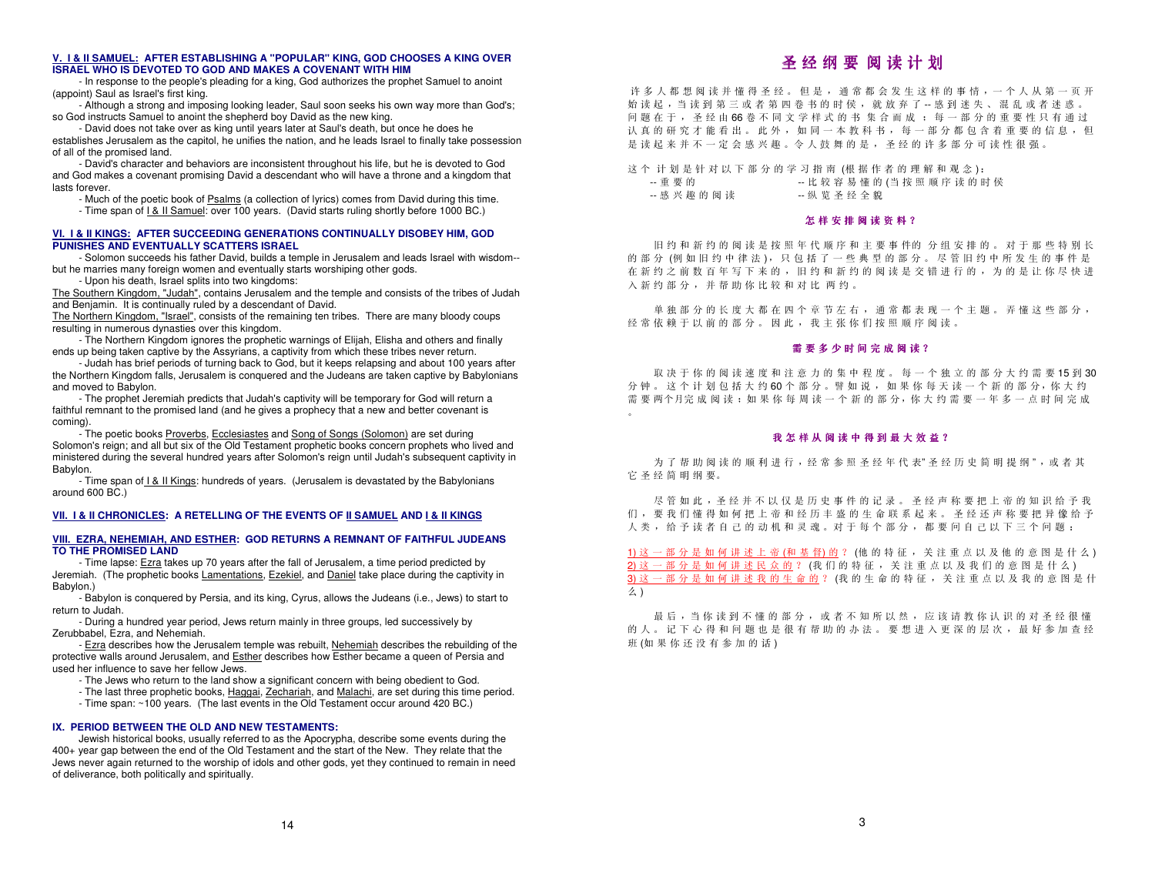#### **V. I & II SAMUEL: AFTER ESTABLISHING A "POPULAR" KING, GOD CHOOSES A KING OVER ISRAEL WHO IS DEVOTED TO GOD AND MAKES A COVENANT WITH HIM**

 - In response to the people's pleading for a king, God authorizes the prophet Samuel to anoint (appoint) Saul as Israel's first king.

 - Although a strong and imposing looking leader, Saul soon seeks his own way more than God's; so God instructs Samuel to anoint the shepherd boy David as the new king.

 - David does not take over as king until years later at Saul's death, but once he does he establishes Jerusalem as the capitol, he unifies the nation, and he leads Israel to finally take possession of all of the promised land.

 - David's character and behaviors are inconsistent throughout his life, but he is devoted to God and God makes a covenant promising David a descendant who will have a throne and a kingdom that lasts forever.

- Much of the poetic book of Psalms (a collection of lyrics) comes from David during this time.

- Time span of I & II Samuel: over 100 years. (David starts ruling shortly before 1000 BC.)

#### **VI. I & II KINGS: AFTER SUCCEEDING GENERATIONS CONTINUALLY DISOBEY HIM, GOD PUNISHES AND EVENTUALLY SCATTERS ISRAEL**

 - Solomon succeeds his father David, builds a temple in Jerusalem and leads Israel with wisdom-but he marries many foreign women and eventually starts worshiping other gods.

- Upon his death, Israel splits into two kingdoms:

The Southern Kingdom, "Judah", contains Jerusalem and the temple and consists of the tribes of Judah and Benjamin. It is continually ruled by a descendant of David.

The Northern Kingdom, "Israel", consists of the remaining ten tribes. There are many bloody coups resulting in numerous dynasties over this kingdom.

 - The Northern Kingdom ignores the prophetic warnings of Elijah, Elisha and others and finally ends up being taken captive by the Assyrians, a captivity from which these tribes never return.

 - Judah has brief periods of turning back to God, but it keeps relapsing and about 100 years after the Northern Kingdom falls, Jerusalem is conquered and the Judeans are taken captive by Babylonians and moved to Babylon.

 - The prophet Jeremiah predicts that Judah's captivity will be temporary for God will return a faithful remnant to the promised land (and he gives a prophecy that a new and better covenant is coming).

- The poetic books Proverbs, Ecclesiastes and Song of Songs (Solomon) are set during Solomon's reign; and all but six of the Old Testament prophetic books concern prophets who lived and ministered during the several hundred years after Solomon's reign until Judah's subsequent captivity in Babylon.

- Time span of I & II Kings: hundreds of years. (Jerusalem is devastated by the Babylonians around 600 BC.)

#### **VII. I & II CHRONICLES: A RETELLING OF THE EVENTS OF II SAMUEL AND I & II KINGS**

#### **VIII. EZRA, NEHEMIAH, AND ESTHER: GOD RETURNS A REMNANT OF FAITHFUL JUDEANS TO THE PROMISED LAND**

- Time lapse: Ezra takes up 70 years after the fall of Jerusalem, a time period predicted by Jeremiah. (The prophetic books Lamentations, Ezekiel, and Daniel take place during the captivity in Babylon.)

 - Babylon is conquered by Persia, and its king, Cyrus, allows the Judeans (i.e., Jews) to start to return to Judah.

 - During a hundred year period, Jews return mainly in three groups, led successively by Zerubbabel, Ezra, and Nehemiah.

- Ezra describes how the Jerusalem temple was rebuilt, Nehemiah describes the rebuilding of the protective walls around Jerusalem, and Esther describes how Esther became a queen of Persia and used her influence to save her fellow Jews.

- The Jews who return to the land show a significant concern with being obedient to God.
- The last three prophetic books, Haggai, Zechariah, and Malachi, are set during this time period.
	- Time span: ~100 years. (The last events in the Old Testament occur around 420 BC.)

#### **IX. PERIOD BETWEEN THE OLD AND NEW TESTAMENTS:**

 Jewish historical books, usually referred to as the Apocrypha, describe some events during the 400+ year gap between the end of the Old Testament and the start of the New. They relate that the Jews never again returned to the worship of idols and other gods, yet they continued to remain in need of deliverance, both politically and spiritually.

## 圣 经 纲 要 <mark>阅 读 计</mark> 划

许多人都想阅读并懂得圣经。但是,通常都会发生这样的事情,一个人从第一页开<br>台诗起,当诗到第三武老第四卷书的时候,武道充了,咸到迷生,退乱武老迷惑 片多八仰 芯 网 医开 锺 博 至 空 。 巴 定 , 通 並 仰 云 及 生 込 忏 的 事 用 , 一 '十 八 从 弟 一 '<br>始 读 起 , 当 读 到 第 三 或 者 第 四 卷 书 的 时 侯 , 就 放 弃 了 一 愿 到 迷 失 、 混 乱 或 者 迷 惑<br>问 顯 左 王 圣 经 出 ec 著 无 同 立 学 样 式 的 虫 焦 会 而 由 , 每 二 如 公 的 重 更 姓 日 右 通 。 问题在于 , <sup>圣</sup> 经由 66 卷不同文学样式的书集合而成 ; <sup>每</sup> 一部分的重要性只有通过认真的研究才能看出。此外,如同一本教科书,每一部分都包含着重要的信息,但<br>具法起来并不,完全感应期。公人就無的具。 圣经的还名观公司法姓徂严 认 真 的 研 究 才 能 看 出 。 此 外 , 如 同 一 本 教 科 书 , 每 一 部 分 都 包 含 着 重 要 的 <sup>。</sup><br>是 读 起 来 并 不 一 定 会 感 兴 趣 。令 人 鼓 舞 的 是 , 圣 经 的 许 多 部 分 可 读 性 很 强 。<br>

这个 计划是针对以下部分的学习指南 (根据作者的理解和观念):

| 一重要的           |  |                |  | -- 比较容易懂的(当按照顺序读的时侯 |  |  |  |  |
|----------------|--|----------------|--|---------------------|--|--|--|--|
| -- 感 兴 趣 的 阅 读 |  | -- 纵 览 圣 经 全 貌 |  |                     |  |  |  |  |

| 兴趣的阅读 | -- 纵 览 圣 经 全 貌 |  |
|-------|----------------|--|
|       |                |  |

## 怎 样 安 排 阅 读 资 **料** ?<br>

旧约和 新 约 的 阅 读 是 按 照 年 代 顺 序 和 主 要 事 件的 分 组 安 排 的 。 对 于 那 些 特 别 长<br>分 7刷 加 归 约 由 律 注 N , 只 句 抒 了 一 些 典 型 的 部 分 , 尽 签 旧 约 由 所 发 圧 的 事 姓 具 的 部 分 (例 如 旧 约 中 律 法 ), 只 包 括 了 一 些 典 型 的 部 分 。 尽 管 旧 约 中 所 发 生 的 事 件 是<br>在 新 约 之 前 粒 万 年 写 下 夹 的 一 旧 约 和 新 约 的 网 诗 具 衣 蜡 进 行 的 一 为 的 具 让 收 尽 种 斗 在新约之前数百年写下来的 , <sup>旧</sup> 约和新约的阅读是交错进行的 , <sup>为</sup> 的是让你尽快进入新约部分 , <sup>并</sup> 帮助你比较和对比两约 。

单独部分的长度大都在四个章节左右 , <sup>通</sup> 常都表现一个主题 。 <sup>弄</sup> 懂这些部分 , 经常依赖于以前的部分。因此,我主张你们按照顺序阅读。<br>

## 需 <sup>要</sup> <sup>多</sup> <sup>少</sup> <sup>时</sup> <sup>间</sup> <sup>完</sup> <sup>成</sup> <sup>阅</sup> <sup>读</sup> ?

取决于你的阅读速度和注意力的集中程度 。 <sup>每</sup> 一个独立的部分大约需要 15 到 30 分钟。这个计划包括大约60个部分。譬如说,如果你每天读一个新的部分,你大约<br>需要而不只完成图法,如果你每周法,个新的都公、你士约需要,怎么,点时间完成 需要两个月完成 阅读:如果你每周读一个新的部分,你大约需要一年多一点时间完成

## 我 怎 样 从 阅 读 中 得 到 最 大 效 益 ?<br>

为 了 帮 助 阅 读 的 顺 利 进 行 , 经 常 参 照 圣 经 年 代 表" 圣 经 历 史 简 明 提 纲 " , 或 者 其<br>63. 签 吧 % 画 它圣经简明纲 要。

尽 管 如 此 , 圣 经 并 不 以 仅 是 历 史 事 件 的 记 录 。 圣 经 声 称 要 把 上 帝 的 知 识 给 予 我 尽 管 如 此, 圣 经 并 不 以 仅 是 历 史 事 件 的 记 录 。 圣 经 声 称 要 把 上 帝 的 知 识 给 予 我<br>们 , 要 我 们 懂 得 如 何 把 上 帝 和 经 历 丰 盛 的 生 命 联 系 起 来 。 圣 经 还 声 称 要 把 异 像 给 予<br>人 巻 、 经 予 诗 孝 白 己 的 动 机 和 灵 魂 、 过 于 每 个 部 分 、 都 要 回 白 己 以 下 三 个 问 题 , 人类 , <sup>给</sup> 予读者 <sup>自</sup> <sup>己</sup> 的动机和灵魂 。对 于每个部分 , <sup>都</sup> 要问 <sup>自</sup> <sup>己</sup> 以下三个问题 :

1) 这 一 部 分 是 如 何 讲 述 上 帝 (和 基 <u>督) 的</u> ? (他 的 特 征 , 关 注 重 点 以 及 他 的 意 图 是 什 么 ) 1) 这 一 部 分 是 如 何 讲 述 上 帝 (和 基 督) 的 ? (他 的 特 征 , 关 注 重 点 以 及 他 的 意 图 是 什 么 )<br>2) 这 一 部 分 是 如 何 讲 述 民 众 的 ? (我 们 的 特 征 , 关 注 重 点 以 及 我 们 的 意 图 是 什 么 )<br>?) 这 一 部 分 是 加 何 进 述 我 的 生 会 的 ? (我 的 生 会 的 特 征 , 关 注 重 点 以 及 我 的 意 图 是 什 3) 这一部分是如何讲述我的生命的? (我的生命的特征,关注重点以及我的意图是什 么 )

最 后 ,当 你 读 到 不 懂 的 部 分 , 或 者 不 知 所 以 然 , 应 该 请 教 你 认 识 的 对 圣 经 很 懂 最后,当你读到不懂的部分,或者不知所以然,应该请教你认识的对圣经很懂<br>的人。记下心得和问题也是很有帮助的办法。要想进入更深的层次,最好参加查经<br>#F (加思依还没有参加的话) 班(如果你还没有参加的话)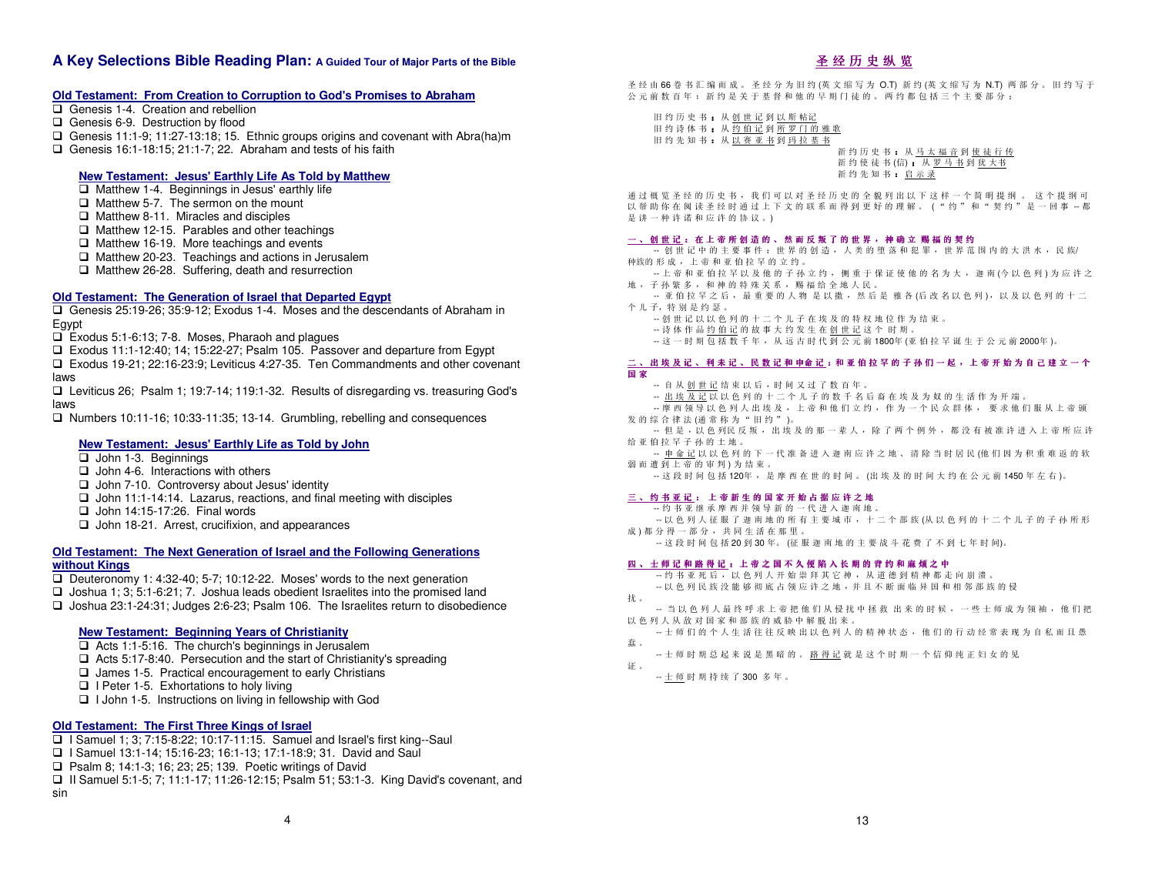### **A Key Selections Bible Reading Plan: A Guided Tour of Major Parts of the Bible**

#### **Old Testament: From Creation to Corruption to God's Promises to Abraham**

- Genesis 1-4. Creation and rebellion
- Genesis 6-9. Destruction by flood
- Genesis 11:1-9; 11:27-13:18; 15. Ethnic groups origins and covenant with Abra(ha)m
- Genesis 16:1-18:15: 21:1-7: 22. Abraham and tests of his faith

#### **New Testament: Jesus' Earthly Life As Told by Matthew**

- $\Box$  Matthew 1-4. Beginnings in Jesus' earthly life
- $\Box$  Matthew 5-7. The sermon on the mount
- $\Box$  Matthew 8-11. Miracles and disciples
- □ Matthew 12-15. Parables and other teachings
- Matthew 16-19. More teachings and events
- Matthew 20-23. Teachings and actions in Jerusalem
- $\Box$  Matthew 26-28. Suffering, death and resurrection

#### **Old Testament: The Generation of Israel that Departed Egypt**

- Genesis 25:19-26; 35:9-12; Exodus 1-4. Moses and the descendants of Abraham in Egypt
- □ Exodus 5:1-6:13; 7-8. Moses, Pharaoh and plagues
- Exodus 11:1-12:40; 14; 15:22-27; Psalm 105. Passover and departure from Egypt
- Exodus 19-21; 22:16-23:9; Leviticus 4:27-35. Ten Commandments and other covenant laws
- Leviticus 26; Psalm 1; 19:7-14; 119:1-32. Results of disregarding vs. treasuring God's laws
- Numbers 10:11-16; 10:33-11:35; 13-14. Grumbling, rebelling and consequences

#### **New Testament: Jesus' Earthly Life as Told by John**

- John 1-3. Beginnings
- $\Box$  John 4-6. Interactions with others
- John 7-10. Controversy about Jesus' identity
- $\Box$  John 11:1-14:14. Lazarus, reactions, and final meeting with disciples
- $\Box$  John 14:15-17:26. Final words
- □ John 18-21. Arrest, crucifixion, and appearances

#### **Old Testament: The Next Generation of Israel and the Following Generations**

#### **without Kings**

- Deuteronomy 1: 4:32-40; 5-7; 10:12-22. Moses' words to the next generation
- $\Box$  Joshua 1; 3; 5:1-6:21; 7. Joshua leads obedient Israelites into the promised land
- Joshua 23:1-24:31; Judges 2:6-23; Psalm 106. The Israelites return to disobedience

#### **New Testament: Beginning Years of Christianity**

- **□ Acts 1:1-5:16. The church's beginnings in Jerusalem**
- □ Acts 5:17-8:40. Persecution and the start of Christianity's spreading
- $\Box$  James 1-5. Practical encouragement to early Christians
- $\Box$  I Peter 1-5. Exhortations to holy living
- □ I John 1-5. Instructions on living in fellowship with God

#### **Old Testament: The First Three Kings of Israel**

- $\Box$  I Samuel 1; 3; 7:15-8:22; 10:17-11:15. Samuel and Israel's first king--Saul
- I Samuel 13:1-14; 15:16-23; 16:1-13; 17:1-18:9; 31. David and Saul
- □ Psalm 8: 14:1-3: 16: 23: 25: 139. Poetic writings of David
- II Samuel 5:1-5; 7; 11:1-17; 11:26-12:15; Psalm 51; 53:1-3. King David's covenant, and
- sin

## <u> 圣 经 历 史 纵 览</u>

圣 经 由 66 卷 书 汇 编 而 成 。 圣 经 分 为 旧 约 (英 文 缩 写 为 O.T) 新 约 (英 文 缩 写 为 N.T) 两 部 分 。 旧 约 写 于<br>公 元 前 粒 百 年 , 新 约 具 关 于 其 权 和 她 日 期 门 往 的 , 画 约 都 句 托 三 个 土 更 郊 分 , 公元前数 百年; 新约是关于基督和他的早期门徒的。两约都包括三个主要部分:

旧约历史书:从创世记到以斯 旧约历史书 : 从<u>创世记到以斯帖记</u><br>旧约诗体书 : 从<u>约伯记到所罗门的雅歌</u><br>旧约先知书 : 从<u>以塞亚书到玛拉基书</u> 旧 约 诗 快 书 · 从 <u>约 旧 叱 判 所 夕 门 的 雅 !</u><br>旧 约 先 知 书 : 从 <u>以 赛 亚 书</u> 到 <u>玛 拉 基 书</u>

新 约 历 史 书 : 从 <u>马 太 福 音</u> 到 <u>使 徒 行 传</u><br>新 约 使 往 其 (启) , 其 罢 甚 封 犹 士 其 : 新约使徒书 (信) : <sup>从</sup> 罗马书到犹 大书 新 约 先 知 书 : <u>启 示 录</u>

通 过 概 览 圣 经 的 历 史 书 , 我 们 可 以 对 圣 经 历 史 的 全 貌 列 出 以 下 这 样 一 个 简 明 提 纲 。 这 个 提 纲 可<br>以 帮 助 收 左 阅 读 圣 经 时 通 过 上 下 立 的 联 系 而 得 列 再 亿 的 理 解 一 ( " 约 〃 和 " 规 约 〃 具 一 回 車 一 孝 通过 概 览 圣 经 的 历 史 书 , 我 们 可 以 对 圣 经 历 史 的 全 貌 列 出 以 下 这 样 一 个 简 明 提 纲 。 这 个 提 纲 可<br>以 帮 助 你 在 阅 读 圣 经 时 通 过 上 下 文 的 联 系 而 得 到 更 好 的 理 解 。 ( " 约 " 和 " 契 约 " 是 一 回 事 - 都<br><sup>旦 洪</sup>一 种 连 选 西 它 连 的 也 过 一 ) 是讲一种许诺和应许的协议 。)

## 一 、 <sup>创</sup> <sup>世</sup> <sup>记</sup> : <sup>在</sup> <sup>上</sup> <sup>帝</sup> <sup>所</sup> <sup>创</sup> <sup>造</sup> <sup>的</sup> 、 <sup>然</sup> <sup>而</sup> <sup>反</sup> <sup>叛</sup> <sup>了</sup> <sup>的</sup> <sup>世</sup> <sup>界</sup> , <sup>神</sup> <sup>确</sup> <sup>立</sup> <sup>赐</sup> <sup>福</sup> <sup>的</sup> <sup>契</sup> <sup>约</sup>

-- 创世记中的主要事件:世界的创造,人类的堕落和犯罪,世界范围内的大洪水,民族/<br>###的形成 上次和亚伯拉努的立约 种族的形成,上帝和亚伯拉罕的立约

 , <sup>上</sup> 。 -- 上帝和亚伯拉罕以及他的子孙立约 , <sup>侧</sup> 重于保证使他的名为大 , <sup>迦</sup> 南 (今以色列 ) 为应许之地,子孙繁多,和神的特殊关系,赐福给全地人民。<br>亚伯拉努之后, 是重要的人物是以欺一然后

 。 -- 亚伯拉罕之后 , <sup>最</sup> 重要的人物是以撒 , <sup>然</sup> 后是雅各 (后改名以色列 ), <sup>以</sup> 及以色列的十二个儿子,特别是约瑟。<br>。 **例世识以及** 

- -- 创世记以以色列的十二个儿子在埃及的特权地位作为结束 。
- -- 诗体作品约伯记的故事大约发生在创世记这个时期
- 。 -- 这一时期包括数千年 , <sup>从</sup> 远古时代到公元前 1800年 (亚伯拉罕诞生于公元前 2000年 )。

## 二 、 <sup>出</sup> <sup>埃</sup> <sup>及</sup> <sup>记</sup> 、 <sup>利</sup> <sup>记</sup> 、 <sup>民</sup> <sup>数</sup> <sup>记</sup> <sup>和</sup> 申命 <sup>记</sup> :和 <sup>亚</sup> <sup>伯</sup> <sup>拉</sup> <sup>罕</sup> <sup>的</sup> <sup>子</sup> <sup>孙</sup> <sup>们</sup> <sup>一</sup> <sup>起</sup> , <sup>上</sup> <sup>帝</sup> <sup>开</sup> <sup>始</sup> <sup>为</sup> <sup>自</sup> <sup>己</sup> <sup>建</sup> <sup>立</sup> <sup>一</sup> <sup>个</sup> 国 <sup>家</sup>

- 
- -- 自 <sup>从</sup> 创世记结束以后 ,时 <sup>间</sup> <sup>又</sup> 过 <sup>了</sup> <sup>数</sup> 百年。 -- 出埃及记以以色列的十二个儿子的数千名后裔在埃及为奴的生活作为开端
- -- エ<u>ルベルト</u> 以いヒカ10-1 ニール 1 10 数 1 石 ht net ex 及 カ xx 10 主 ra 1 カ *ハ* 通。<br>- -- 摩 西 領 手 以 色 列 人 出 安 A ,上 帝 和 他 们 立 约 , 作 为 一 个 民 众 群 体 , 要 求 他 们 服 从 上 帝 颁<br>生 的 空 今 律 法 L涌 堂 安 丸 " 旧 ぬ " ) 发的综合律法(通常称为"旧约")。<br>但是 巴鱼列民兵叛 中埃
- -- 但是,以色列民反叛, 出埃及的那一辈人,除了两个例外,都没有被准许进入上帝所应许<br>坐亚伯拉克子孙的土地 给亚伯拉罕子孙的土地
- 。 -- 申 <sup>命</sup> 记以以色列的下一代准备进入迦南应许之地 、 <sup>清</sup> 除 <sup>当</sup> <sup>时</sup> 居民 (他们 <sup>因</sup> <sup>为</sup> 积重难返的软弱而遭到上帝的审判)为结束
- 。 -- 这段时 <sup>间</sup> <sup>包</sup> 括 120年 , <sup>是</sup> 摩西在世的时 <sup>间</sup> 。 (<sup>出</sup> 埃及的时 <sup>间</sup> <sup>大</sup> 约在公元前 1450 年左右 )。

## 三 、 <sup>约</sup> <sup>书</sup> <sup>亚</sup> <sup>记</sup> : <sup>上</sup> <sup>帝</sup> <sup>新</sup> <sup>生</sup> <sup>的</sup> <sup>国</sup> <sup>家</sup> <sup>开</sup> <sup>始</sup> <sup>占</sup> <sup>据</sup> <sup>应</sup> <sup>许</sup> <sup>之</sup> <sup>地</sup>

- -- 约书亚继承摩西并领导新的一代进入迦南地
- 。 -- 以色列人征服 <sup>了</sup> <sup>迦</sup> 南地的所有主要城市 , <sup>十</sup> 二个部族 (从以色列的十二个儿子的子孙所形
- 成) 都分得一部分,共同生活在那里
- 。<br>-- 这段时间包括20到30年。(征服迦南地的主要战斗花费了不到七年时间)。<br>-- 这段时间包括20到30年。(征服迦南地的主要战斗花费了不到七年时间)。

## 四 、 <sup>士</sup> <sup>师</sup> <sup>记</sup> <sup>和</sup> <sup>路</sup> <sup>得</sup> <sup>记</sup> : <sup>上</sup> <sup>帝</sup> <sup>之</sup> <sup>国</sup> <sup>不</sup> <sup>久</sup> <sup>便</sup> <sup>陷</sup> <sup>入</sup> <sup>长</sup> <sup>期</sup> <sup>的</sup> <sup>背</sup> <sup>约</sup> <sup>和</sup> <sup>麻</sup> <sup>烦</sup> <sup>之</sup> <sup>中</sup>

- -- 约书亚死后 , <sup>以</sup> 色列人开始崇拜其它神 , <sup>从</sup> 道德到精神都走 <sup>向</sup> <sup>崩</sup> 溃
- 。 -- 以色列民族没能够彻底 <sup>占</sup> <sup>领</sup> 应许之地 ,并 且不断面临异 <sup>国</sup> <sup>和</sup> 相邻部族的侵
- 扰 。

证 。

- -- 当以色列人最终呼求上帝把他们从侵扰中拯救 出来的时候,一些士师成为领袖,他们把<br>以 色 列 人 其 我 对 国 家 和 效 的 时 助 中 解 附 中 本 以色列人从敌对 <sup>国</sup> <sup>家</sup> 和部族的威胁 <sup>中</sup> <sup>解</sup> 脱出来
- 。<br>一 一 士 师 们 的 个 人 生 活 往 行 映 出 以 色 列 人 的 精 神 状 态 , 他 们 的 行 动 经 常 表 现 为 自 私 而 且 愚<br><sub>幸</sub> 蠢 。
- -- 士师时期总起来说是黑暗的。 <u>路得记</u>就是这个时期一个信仰纯正妇女的见
- -- <u>士 师</u> 时 期 持 续 了 **300** 多 年 。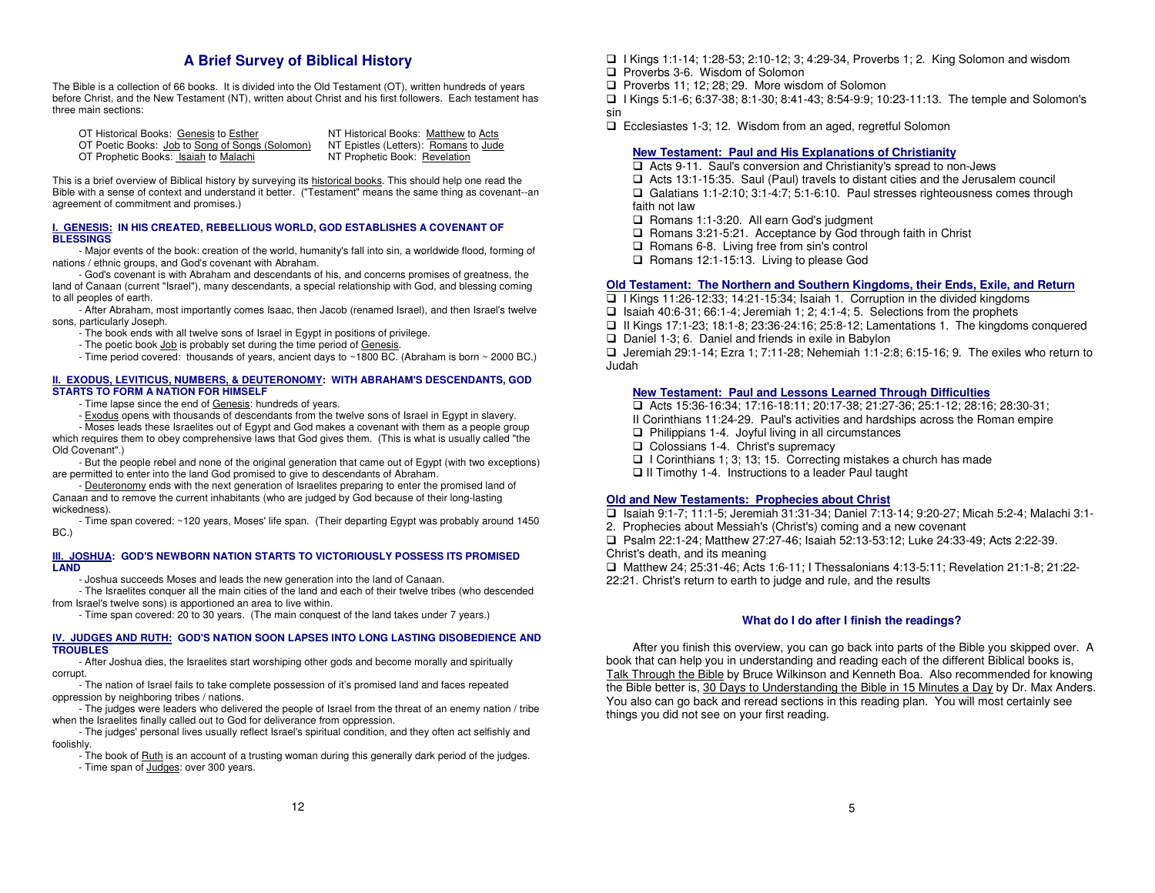### **A Brief Survey of Biblical History**

The Bible is a collection of 66 books. It is divided into the Old Testament (OT), written hundreds of years before Christ, and the New Testament (NT), written about Christ and his first followers. Each testament has three main sections:

OT Historical Books: Genesis to Esther NT Historical Books: Matthew to Acts OT Poetic Books: Job to Song of Songs (Solomon) NT Epistles (Letters): Romans to T Prophetic Books: Isaiah to Malachi OT Prophetic Books: Isaiah to Malachi

NT Epistles (Letters): Romans to Jude

This is a brief overview of Biblical history by surveying its historical books. This should help one read the Bible with a sense of context and understand it better. ("Testament" means the same thing as covenant--an agreement of commitment and promises.)

#### **I. GENESIS: IN HIS CREATED, REBELLIOUS WORLD, GOD ESTABLISHES A COVENANT OF BLESSINGS**

 - Major events of the book: creation of the world, humanity's fall into sin, a worldwide flood, forming of nations / ethnic groups, and God's covenant with Abraham.

 - God's covenant is with Abraham and descendants of his, and concerns promises of greatness, the land of Canaan (current "Israel"), many descendants, a special relationship with God, and blessing coming to all peoples of earth.

 - After Abraham, most importantly comes Isaac, then Jacob (renamed Israel), and then Israel's twelve sons, particularly Joseph.

- - The book ends with all twelve sons of Israel in Egypt in positions of privilege.
	- The poetic book Job is probably set during the time period of Genesis.
- Time period covered: thousands of years, ancient days to ~1800 BC. (Abraham is born ~ 2000 BC.)

#### **II. EXODUS, LEVITICUS, NUMBERS, & DEUTERONOMY: WITH ABRAHAM'S DESCENDANTS, GOD STARTS TO FORM A NATION FOR HIMSELF**

- Time lapse since the end of Genesis: hundreds of years.
- Exodus opens with thousands of descendants from the twelve sons of Israel in Egypt in slavery.

 - Moses leads these Israelites out of Egypt and God makes a covenant with them as a people group which requires them to obey comprehensive laws that God gives them. (This is what is usually called "the Old Covenant".)

 - But the people rebel and none of the original generation that came out of Egypt (with two exceptions) are permitted to enter into the land God promised to give to descendants of Abraham.

- Deuteronomy ends with the next generation of Israelites preparing to enter the promised land of Canaan and to remove the current inhabitants (who are judged by God because of their long-lasting wickedness).

 - Time span covered: ~120 years, Moses' life span. (Their departing Egypt was probably around 1450 BC.)

#### **III. JOSHUA: GOD'S NEWBORN NATION STARTS TO VICTORIOUSLY POSSESS ITS PROMISED LAND**

- Joshua succeeds Moses and leads the new generation into the land of Canaan.

 - The Israelites conquer all the main cities of the land and each of their twelve tribes (who descended from Israel's twelve sons) is apportioned an area to live within.

- Time span covered: 20 to 30 years. (The main conquest of the land takes under 7 years.)

#### **IV. JUDGES AND RUTH: GOD'S NATION SOON LAPSES INTO LONG LASTING DISOBEDIENCE AND TROUBLES**

 - After Joshua dies, the Israelites start worshiping other gods and become morally and spiritually corrupt.

 - The nation of Israel fails to take complete possession of it's promised land and faces repeated oppression by neighboring tribes / nations.

 - The judges were leaders who delivered the people of Israel from the threat of an enemy nation / tribe when the Israelites finally called out to God for deliverance from oppression.

 - The judges' personal lives usually reflect Israel's spiritual condition, and they often act selfishly and foolishly.

- The book of **Ruth** is an account of a trusting woman during this generally dark period of the judges. - Time span of Judges: over 300 years.

- I Kings 1:1-14; 1:28-53; 2:10-12; 3; 4:29-34, Proverbs 1; 2. King Solomon and wisdom
- **Proverbs 3-6. Wisdom of Solomon**
- $\Box$  Proverbs 11; 12; 28; 29. More wisdom of Solomon
- I Kings 5:1-6; 6:37-38; 8:1-30; 8:41-43; 8:54-9:9; 10:23-11:13. The temple and Solomon's

sin

□ Ecclesiastes 1-3; 12. Wisdom from an aged, regretful Solomon

#### **New Testament: Paul and His Explanations of Christianity**

**□ Acts 9-11. Saul's conversion and Christianity's spread to non-Jews** 

□ Acts 13:1-15:35. Saul (Paul) travels to distant cities and the Jerusalem council

 Galatians 1:1-2:10; 3:1-4:7; 5:1-6:10. Paul stresses righteousness comes through faith not law

- □ Romans 1:1-3:20. All earn God's judgment
- □ Romans 3:21-5:21. Acceptance by God through faith in Christ
- $\Box$  Romans 6-8. Living free from sin's control
- Romans 12:1-15:13. Living to please God

#### **Old Testament: The Northern and Southern Kingdoms, their Ends, Exile, and Return**

 $\Box$  I Kings 11:26-12:33; 14:21-15:34; Isaiah 1. Corruption in the divided kingdoms

 $\Box$  Isaiah 40:6-31; 66:1-4; Jeremiah 1; 2; 4:1-4; 5. Selections from the prophets

 $\Box$  II Kings 17:1-23; 18:1-8; 23:36-24:16; 25:8-12; Lamentations 1. The kingdoms conquered

 $\Box$  Daniel 1-3; 6. Daniel and friends in exile in Babylon

 $\Box$  Jeremiah 29:1-14; Ezra 1; 7:11-28; Nehemiah 1:1-2:8; 6:15-16; 9. The exiles who return to Judah

#### **New Testament: Paul and Lessons Learned Through Difficulties**

Acts 15:36-16:34; 17:16-18:11; 20:17-38; 21:27-36; 25:1-12; 28:16; 28:30-31;

II Corinthians 11:24-29. Paul's activities and hardships across the Roman empire

- $\Box$  Philippians 1-4. Joyful living in all circumstances
- □ Colossians 1-4. Christ's supremacy
- $\Box$  I Corinthians 1; 3; 13; 15. Correcting mistakes a church has made
- □ II Timothy 1-4. Instructions to a leader Paul taught

#### **Old and New Testaments: Prophecies about Christ**

Isaiah 9:1-7; 11:1-5; Jeremiah 31:31-34; Daniel 7:13-14; 9:20-27; Micah 5:2-4; Malachi 3:1-

2. Prophecies about Messiah's (Christ's) coming and a new covenant

Psalm 22:1-24; Matthew 27:27-46; Isaiah 52:13-53:12; Luke 24:33-49; Acts 2:22-39.

- Christ's death, and its meaning
- Matthew 24; 25:31-46; Acts 1:6-11; I Thessalonians 4:13-5:11; Revelation 21:1-8; 21:22-
- 22:21. Christ's return to earth to judge and rule, and the results

#### **What do I do after I finish the readings?**

 After you finish this overview, you can go back into parts of the Bible you skipped over. A book that can help you in understanding and reading each of the different Biblical books is, Talk Through the Bible by Bruce Wilkinson and Kenneth Boa. Also recommended for knowing the Bible better is, 30 Days to Understanding the Bible in 15 Minutes a Day by Dr. Max Anders. You also can go back and reread sections in this reading plan. You will most certainly see things you did not see on your first reading.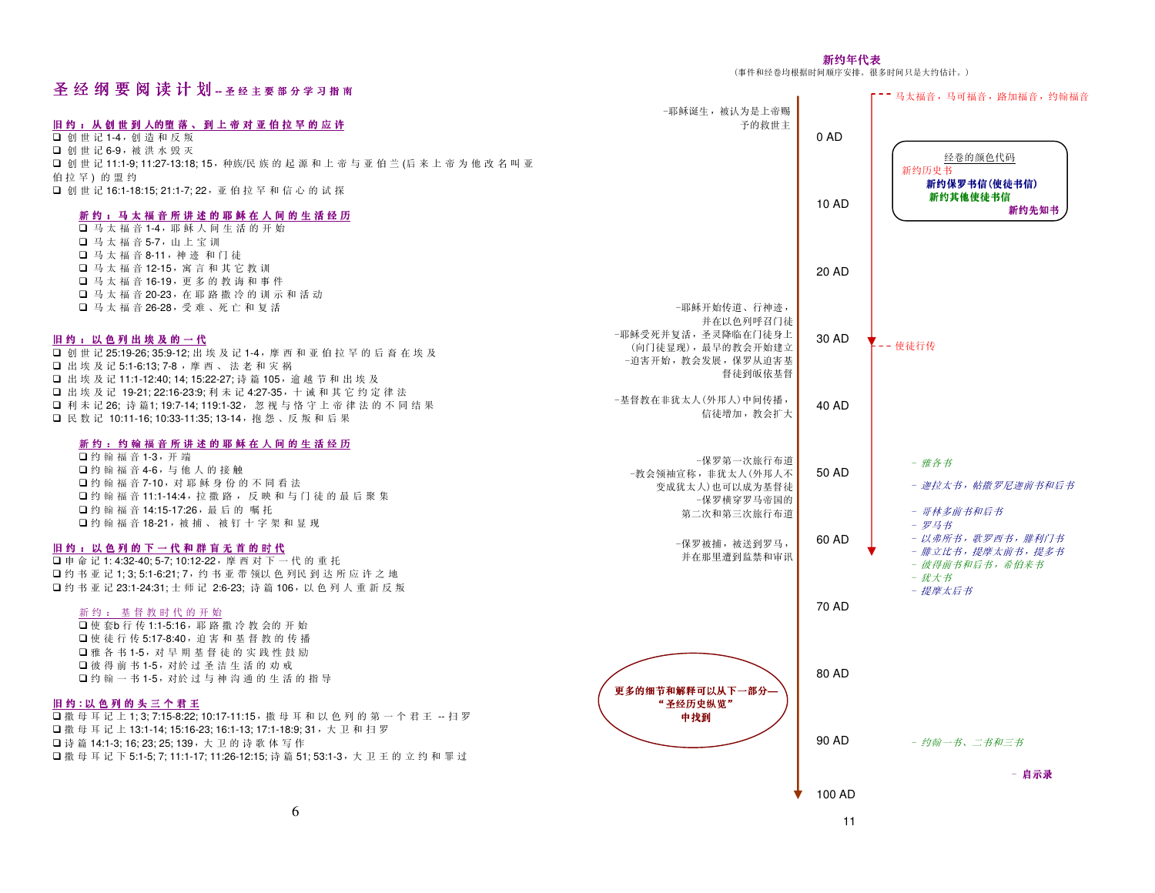#### 新约年代表(事件和经卷均根据时间顺序安排。很多时间只是大约估计。)

| 圣 经 纲 要 阅 读 计 划 -  圣 经 主 要 部 分 学 习 指 南                                                                             |                                          |        | -- 马太福音, 马可福音, 路加福音, 约翰福音             |
|--------------------------------------------------------------------------------------------------------------------|------------------------------------------|--------|---------------------------------------|
|                                                                                                                    | -耶稣诞生, 被认为是上帝赐                           |        |                                       |
| 旧约:从创世到人的堕落、到上帝对亚伯拉罕的应许<br>□ 创世记1-4, 创造和反叛                                                                         | 予的救世主                                    | 0 AD   |                                       |
| □ 创世记 6-9, 被洪水毁灭                                                                                                   |                                          |        | 经卷的颜色代码                               |
| 口 创 世 记 11:1-9: 11:27-13:18: 15, 种族/民 族 的 起 源 和 上 帝 与 亚 伯 兰 (后 来 上 帝 为 他 改 名 叫 亚<br>伯拉 罕)的盟约                       |                                          |        | 新约历史书                                 |
| □ 创 世 记 16:1-18:15: 21:1-7: 22, 亚 伯 拉 罕 和 信 心 的 试 探                                                                |                                          |        | 新约保罗书信(使徒书信)                          |
| 新约:马太福音所讲述的耶稣在人间的生活经历                                                                                              |                                          | 10 AD  | 新约其他使徒书信<br>新约先知书                     |
| $\Box$ 马太福音1-4, 耶稣人间生活的开始                                                                                          |                                          |        |                                       |
| □ 马太福音5-7, 山上宝训<br>□ 马太福音8-11, 神迹和门徒                                                                               |                                          |        |                                       |
| □ 马太福音12-15, 寓言和其它教训                                                                                               |                                          | 20 AD  |                                       |
| □ 马太福音16-19, 更多的教诲和事件                                                                                              |                                          |        |                                       |
| □ 马太福音20-23, 在耶路撒冷的训示和活动<br>□ 马太福音26-28, 受难、死亡和复活                                                                  | -耶稣开始传道、行神迹,                             |        |                                       |
|                                                                                                                    | 并在以色列呼召门徒                                |        |                                       |
| 旧约:以色列出埃及的一代                                                                                                       | -耶稣受死并复活,圣灵降临在门徒身上<br>(向门徒显现), 最早的教会开始建立 | 30 AD  | -- 使徒行传                               |
| □ 创 世 记 25:19-26:35:9-12: 出 埃 及 记 1-4, 摩 西 和 亚 伯 拉 罕 的 后 裔 在 埃 及<br>□ 出埃及记 5:1-6:13: 7-8, 摩西、法老和灾祸                 | -迫害开始, 教会发展, 保罗从迫害基                      |        |                                       |
| □ 出埃 及 记 11:1-12:40: 14: 15:22-27: 诗 篇 105, 逾 越 节 和 出 埃 及                                                          | 督徒到皈依基督                                  |        |                                       |
| □ 出埃及记 19-21; 22:16-23:9; 利未记 4:27-35, 十诫和其它约定律法<br>□ 利未记26;诗篇1:19:7-14:119:1-32,忽视与恪守上帝律法的不同结果                    | -基督教在非犹太人(外邦人)中间传播,                      | 40 AD  |                                       |
| □ 民数记 10:11-16: 10:33-11:35: 13-14, 抱怨、反叛和后果                                                                       | 信徒增加, 教会扩大                               |        |                                       |
| 新约:约翰福音所讲述的耶稣在人间的生活经历                                                                                              |                                          |        |                                       |
| □约翰福音1-3, 开端                                                                                                       | -保罗第一次旅行布道                               |        | - 雅各书                                 |
| □约翰福音4-6,与他人的接触<br>□约翰福音7-10, 对耶稣身份的不同看法                                                                           | -教会领袖宣称, 非犹太人(外邦人不<br>变成犹太人)也可以成为基督徒     | 50 AD  | - 迦拉太书, 帖撒罗尼迦前书和后书                    |
| □约翰福音11:1-14:4, 拉撒路, 反映和与门徒的最后聚集                                                                                   | -保罗横穿罗马帝国的                               |        |                                       |
| □约翰福音14:15-17:26, 最后的嘱托<br>□约翰福音18-21,被捕、被钉十字架和显现                                                                  | 第二次和第三次旅行布道                              |        | - 哥林多前书和后书<br>- 罗马书                   |
| 旧约:以色列的下一代和群盲无首的时代                                                                                                 | -保罗被捕,被送到罗马,                             | 60 AD  | - 以弗所书, 歌罗西书, 腓利门书                    |
| 口申命记1:4:32-40:5-7:10:12-22, 摩西对下一代的重托                                                                              | 并在那里遭到监禁和审讯                              |        | - 腓立比书, 提摩太前书, 提多书<br>- 彼得前书和后书, 希伯来书 |
| □约书亚记1;3;5:1-6:21;7,约书亚带领以色列民到达所应许之地                                                                               |                                          |        | - 犹大书                                 |
| □约书亚记23:1-24:31; 士师记 2:6-23; 诗篇106, 以色列人重新反叛                                                                       |                                          | 70 AD  | - 提摩太后书                               |
| 新约: 基督教时代的开始<br>□ 使 套b 行 传 1:1-5:16, 耶 路 撒 冷 教 会的 开 始                                                              |                                          |        |                                       |
| □ 使徒行传 5:17-8:40, 迫害和基督教的传播                                                                                        |                                          |        |                                       |
| □雅各书1-5, 对早期基督徒的实践性鼓励<br>□彼得前书1-5, 对於过圣洁生活的劝戒                                                                      |                                          |        |                                       |
| □约翰一书1-5, 对於过与神沟通的生活的指导                                                                                            |                                          | 80 AD  |                                       |
| 旧约:以色列的头三个君王                                                                                                       | 更多的细节和解释可以从下一部分-<br>"圣经历史纵览"             |        |                                       |
| □ 撒 母 耳 记 上 1;3;7:15-8:22;10:17-11:15, 撒 母 耳 和 以 色 列 的 第 一 个 君 王 -- 扫 罗                                            | 中找到                                      |        |                                       |
| □ 撒 母 耳 记 上 13:1-14; 15:16-23; 16:1-13; 17:1-18:9; 31, 大 卫 和 扫 罗<br>□ 诗 篇 14:1-3: 16: 23: 25: 139, 大 卫 的 诗 歌 体 写 作 |                                          | 90 AD  | - 约翰一书、二书和三书                          |
| □ 撒 母 耳 记 下 5:1-5; 7; 11:1-17; 11:26-12:15; 诗 篇 51; 53:1-3, 大 卫 王 的 立 约 和 罪 过                                      |                                          |        |                                       |
|                                                                                                                    |                                          |        | - 启示录                                 |
|                                                                                                                    |                                          | 100 AD |                                       |

11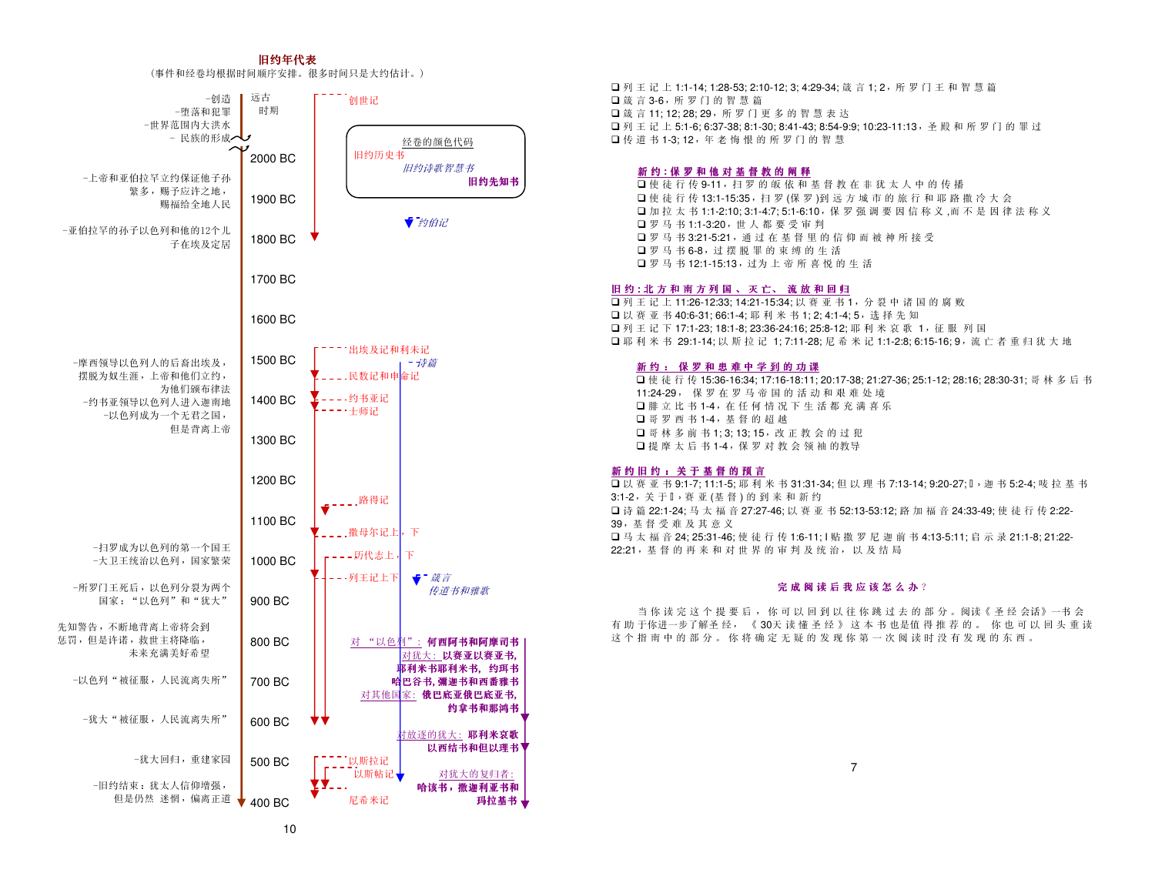#### 旧约年代表

#### (事件和经卷均根据时间顺序安排。很多时间只是大约估计。)



■列王记上 1:1-14; 1:28-53; 2:10-12; 3; 4:29-34; 箴 言 1; 2,所 罗 门 王 和 智 慧 篇 箴言 3-6,所罗门的智慧篇□箴言 11; 12; 28; 29, 所 罗 门 更 多 的 智 慧 表 达 ■列王记上 5:1-6; 6:37-38; 8:1-30; 8:41-43; 8:54-9:9; 10:23-11:13,圣殿和所罗门的罪过 □传道书 1-3;12,年老悔恨的所罗门的智慧

## **新 约 : 保 罗 和 他 对 基 督 教 的 阐 释**<br>口 使 徒 行 传 9-11 . 扫 罗 的 皈 依 和

口使徒行传 9-11,扫罗的皈依和基督教在非犹太人中的传播 □ 使 徒 行 传 13:1-15:35, 扫 罗 (保 罗 )到 远 方 城 市 的 旅 行 和 耶 路 撒 冷 大 会 □ 加 拉 太 书 1:1-2:10; 3:1-4:7; 5:1-6:10,保 罗 强 调 要 因 信 称 义 ,而 不 是 因 律 法 称 义 罗马书 1:1-3:20,世人都要受审判 罗马书 3:21-5:21,通过在基督里的信仰而被神所接受口罗马书 6-8,过摆脱罪的束缚的生活 □罗马书 12:1-15:13,过为上帝所喜悦的生活

## 旧 <sup>约</sup> **:** <sup>北</sup> <sup>方</sup> <sup>和</sup> <sup>南</sup> <sup>方</sup> <sup>列</sup> <sup>国</sup> 、 <sup>灭</sup> 亡、 <sup>流</sup> <sup>放</sup> <sup>和</sup> <sup>回</sup> <sup>归</sup>

■ 列 王 记 上 11:26-12:33; 14:21-15:34; 以 赛 亚 书 1,分 裂 中 诸 国 的 腐 败 □以赛亚书 40:6-31; 66:1-4; 耶利米书 1; 2; 4:1-4; 5, 选择先知 ■列王记下 17:1-23; 18:1-8; 23:36-24:16; 25:8-12; 耶利米哀歌 1, 征服 列国 □耶利米书 29:1-14; 以斯拉记 1; 7:11-28; 尼希米记 1:1-2:8; 6:15-16; 9, 流亡者重归犹大地

## <u>新 约 : 保 罗 和 患 难 中 学 到 的 功 课</u><br>□ 使 往 行 生 15:26 16:24:17:16 19:11:

■使徒行传15:36-16:34; 17:16-18:11; 20:17-38; 21:27-36; 25:1-12; 28:16; 28:30-31; 哥林多后书 11:24-29, <sup>保</sup> 罗在罗马帝国的活动和艰难处境■腓立比书 1-4,在任何情况下生活都充满喜乐 哥罗西书 1-4,基督的超越□ 哥林 多 前 书 1; 3; 13; 15, 改 正 教 会 的 过 犯  $\Box$  提 摩 太 后 书 1-4,保 罗 对 教 会 领 袖 的教导

## 新 <sup>约</sup> <sup>旧</sup> <sup>约</sup> : <sup>关</sup> <sup>于</sup> <sup>基</sup> <sup>督</sup> <sup>的</sup> <sup>预</sup> <sup>言</sup>

■以赛亚书 9:1-7; 11:1-5; 耶 利 米 书 31:31-34; 但 以 理 书 7:13-14; 9:20-27; → 迦 书 5:2-4; 唛 拉 基 书 3:1-2,关于,赛亚(基督)的到来和新约 □诗篇 22:1-24; 马太福音 27:27-46; 以赛亚书 52:13-53:12; 路加福音 24:33-49; 使徒行传 2:22- 39,基督受难及其意义■ 马 太 福 音 24; 25:31-46; 使 徒 行 传 1:6-11; l 贴 撒 罗 尼 迦 前 书 4:13-5:11; 启 示 录 21:1-8; 21:22-22:21,基督的再来和对世界的审判及统 治, 以及结局

## 完 成 阅 读 后 我 应 该 怎 么 办 ?<br>.

当 你 读 完 这 个 提 要 后 , 你 可 以 回 到 以 往 你 跳 过 去 的 部 分 。 阅读《 圣 经 会话》一书 会<br>王依进 그 步了解 圣 经 。 《 20 王 诗 様 圣 经 》 这 本 书 也 <sup>但 相</sup> 若 的。 收 也 可 以 回 头 重 · 有助于你进一步了解圣 经, 《30天 读 懂 圣 经 》 这 本 书 也是值 得 推 荐 的 。 你 也 可 以 回 头 重 读<br>这 个 毕 南 中 的 部 分 。 放 悠 确 完 王 铎 的 发 现 放 算 一 次 阅 读 时 没 右 发 现 的 左 西 这个指南中的部分。 你将确定 无疑的发现你第一次阅读时没有发现的东西。

7